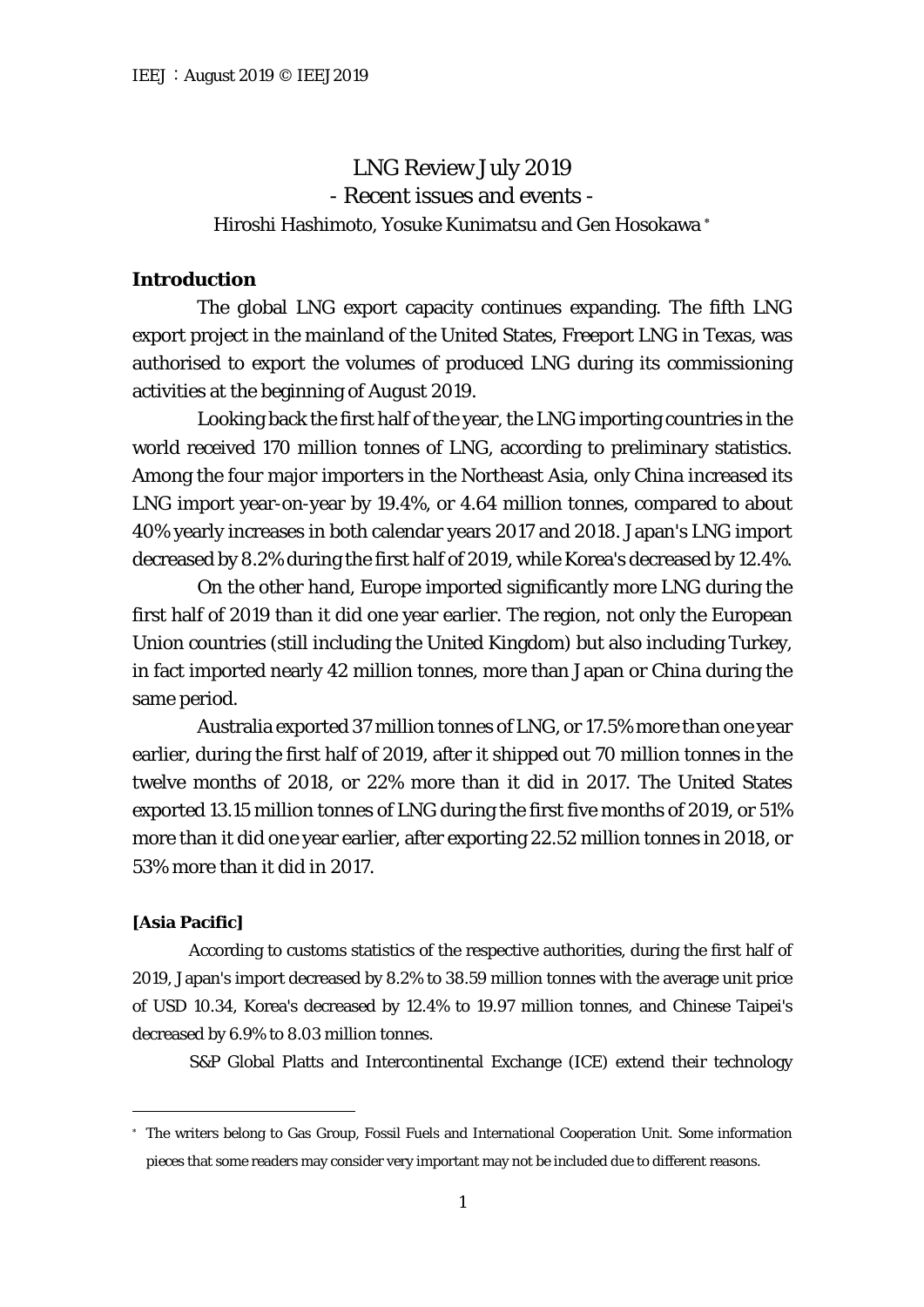# LNG Review July 2019 - Recent issues and events - Hiroshi Hashimoto, Yosuke Kunimatsu and Gen Hosokawa [∗](#page-0-0)

# **Introduction**

The global LNG export capacity continues expanding. The fifth LNG export project in the mainland of the United States, Freeport LNG in Texas, was authorised to export the volumes of produced LNG during its commissioning activities at the beginning of August 2019.

Looking back the first half of the year, the LNG importing countries in the world received 170 million tonnes of LNG, according to preliminary statistics. Among the four major importers in the Northeast Asia, only China increased its LNG import year-on-year by 19.4%, or 4.64 million tonnes, compared to about 40% yearly increases in both calendar years 2017 and 2018. Japan's LNG import decreased by 8.2% during the first half of 2019, while Korea's decreased by 12.4%.

On the other hand, Europe imported significantly more LNG during the first half of 2019 than it did one year earlier. The region, not only the European Union countries (still including the United Kingdom) but also including Turkey, in fact imported nearly 42 million tonnes, more than Japan or China during the same period.

Australia exported 37 million tonnes of LNG, or 17.5% more than one year earlier, during the first half of 2019, after it shipped out 70 million tonnes in the twelve months of 2018, or 22% more than it did in 2017. The United States exported 13.15 million tonnes of LNG during the first five months of 2019, or 51% more than it did one year earlier, after exporting 22.52 million tonnes in 2018, or 53% more than it did in 2017.

## **[Asia Pacific]**

According to customs statistics of the respective authorities, during the first half of 2019, Japan's import decreased by 8.2% to 38.59 million tonnes with the average unit price of USD 10.34, Korea's decreased by 12.4% to 19.97 million tonnes, and Chinese Taipei's decreased by 6.9% to 8.03 million tonnes.

S&P Global Platts and Intercontinental Exchange (ICE) extend their technology

<span id="page-0-0"></span><sup>∗</sup> The writers belong to Gas Group, Fossil Fuels and International Cooperation Unit. Some information pieces that some readers may consider very important may not be included due to different reasons.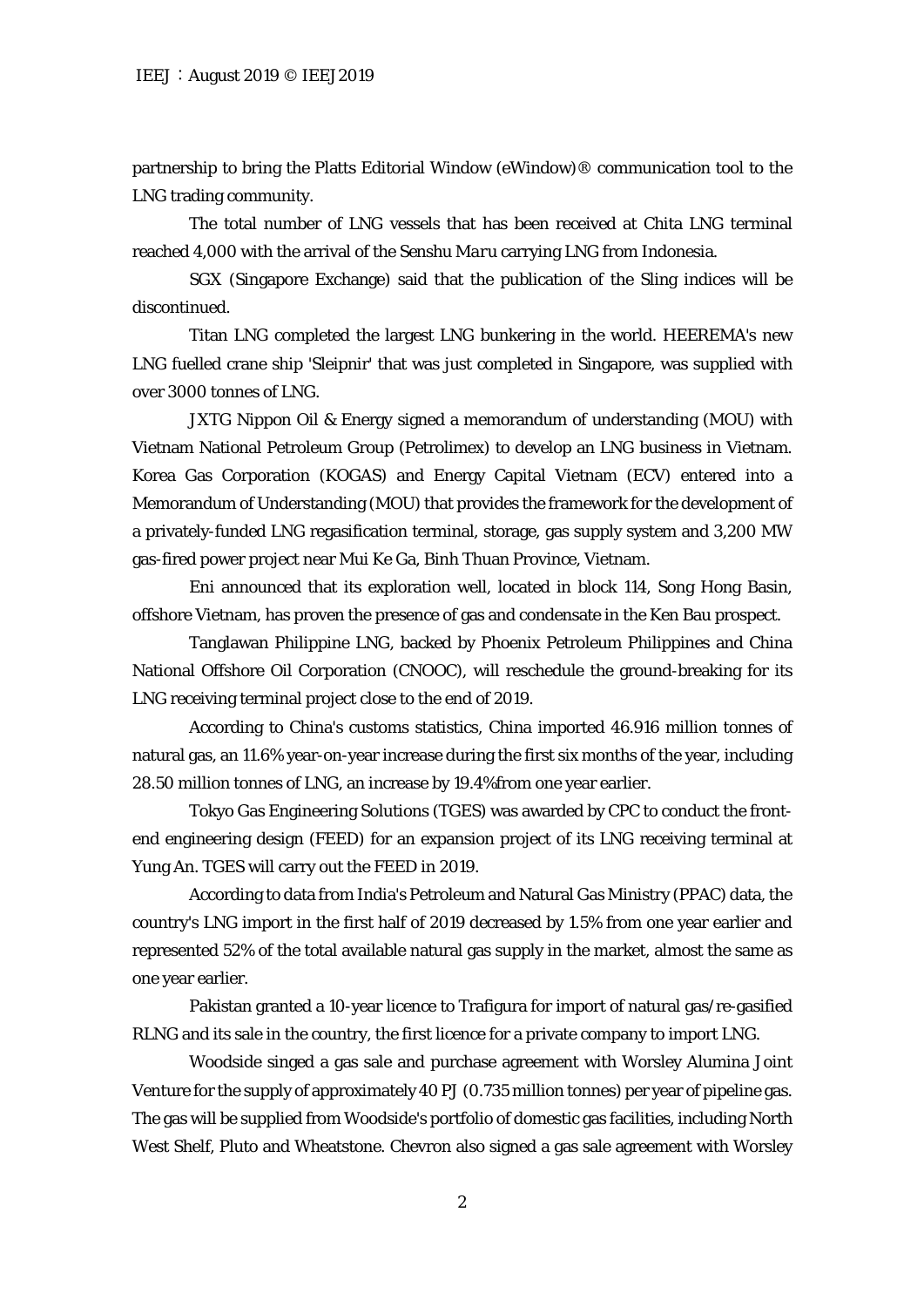partnership to bring the Platts Editorial Window (eWindow)® communication tool to the LNG trading community.

The total number of LNG vessels that has been received at Chita LNG terminal reached 4,000 with the arrival of the *Senshu Maru* carrying LNG from Indonesia.

SGX (Singapore Exchange) said that the publication of the Sling indices will be discontinued.

Titan LNG completed the largest LNG bunkering in the world. HEEREMA's new LNG fuelled crane ship 'Sleipnir' that was just completed in Singapore, was supplied with over 3000 tonnes of LNG.

JXTG Nippon Oil & Energy signed a memorandum of understanding (MOU) with Vietnam National Petroleum Group (Petrolimex) to develop an LNG business in Vietnam. Korea Gas Corporation (KOGAS) and Energy Capital Vietnam (ECV) entered into a Memorandum of Understanding (MOU) that provides the framework for the development of a privately-funded LNG regasification terminal, storage, gas supply system and 3,200 MW gas-fired power project near Mui Ke Ga, Binh Thuan Province, Vietnam.

Eni announced that its exploration well, located in block 114, Song Hong Basin, offshore Vietnam, has proven the presence of gas and condensate in the Ken Bau prospect.

Tanglawan Philippine LNG, backed by Phoenix Petroleum Philippines and China National Offshore Oil Corporation (CNOOC), will reschedule the ground-breaking for its LNG receiving terminal project close to the end of 2019.

According to China's customs statistics, China imported 46.916 million tonnes of natural gas, an 11.6% year-on-year increase during the first six months of the year, including 28.50 million tonnes of LNG, an increase by 19.4%from one year earlier.

Tokyo Gas Engineering Solutions (TGES) was awarded by CPC to conduct the frontend engineering design (FEED) for an expansion project of its LNG receiving terminal at Yung An. TGES will carry out the FEED in 2019.

According to data from India's Petroleum and Natural Gas Ministry (PPAC) data, the country's LNG import in the first half of 2019 decreased by 1.5% from one year earlier and represented 52% of the total available natural gas supply in the market, almost the same as one year earlier.

Pakistan granted a 10-year licence to Trafigura for import of natural gas/re-gasified RLNG and its sale in the country, the first licence for a private company to import LNG.

Woodside singed a gas sale and purchase agreement with Worsley Alumina Joint Venture for the supply of approximately 40 PJ (0.735 million tonnes) per year of pipeline gas. The gas will be supplied from Woodside's portfolio of domestic gas facilities, including North West Shelf, Pluto and Wheatstone. Chevron also signed a gas sale agreement with Worsley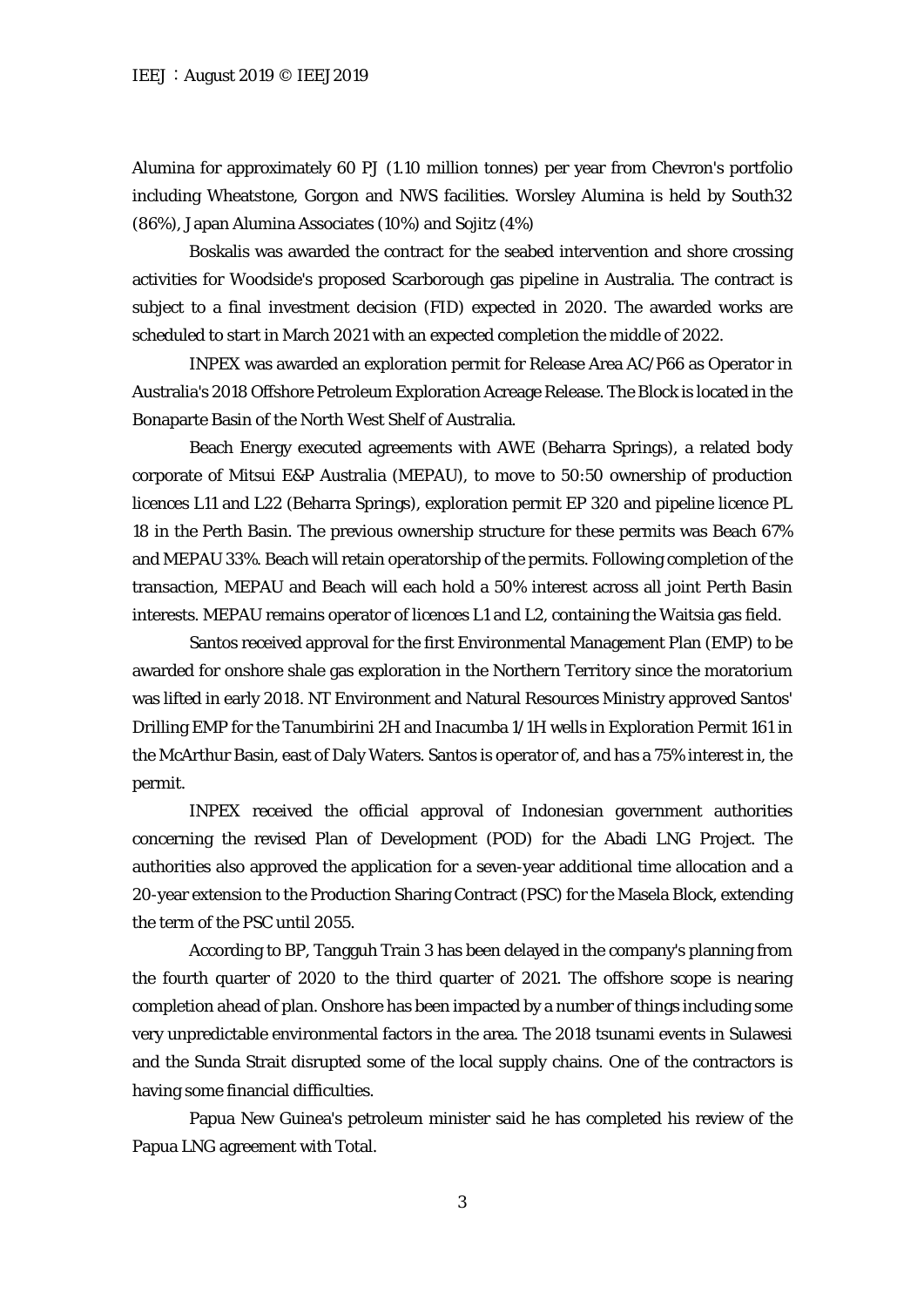Alumina for approximately 60 PJ (1.10 million tonnes) per year from Chevron's portfolio including Wheatstone, Gorgon and NWS facilities. Worsley Alumina is held by South32 (86%), Japan Alumina Associates (10%) and Sojitz (4%)

Boskalis was awarded the contract for the seabed intervention and shore crossing activities for Woodside's proposed Scarborough gas pipeline in Australia. The contract is subject to a final investment decision (FID) expected in 2020. The awarded works are scheduled to start in March 2021 with an expected completion the middle of 2022.

INPEX was awarded an exploration permit for Release Area AC/P66 as Operator in Australia's 2018 Offshore Petroleum Exploration Acreage Release. The Block is located in the Bonaparte Basin of the North West Shelf of Australia.

Beach Energy executed agreements with AWE (Beharra Springs), a related body corporate of Mitsui E&P Australia (MEPAU), to move to 50:50 ownership of production licences L11 and L22 (Beharra Springs), exploration permit EP 320 and pipeline licence PL 18 in the Perth Basin. The previous ownership structure for these permits was Beach 67% and MEPAU 33%. Beach will retain operatorship of the permits. Following completion of the transaction, MEPAU and Beach will each hold a 50% interest across all joint Perth Basin interests. MEPAU remains operator of licences L1 and L2, containing the Waitsia gas field.

Santos received approval for the first Environmental Management Plan (EMP) to be awarded for onshore shale gas exploration in the Northern Territory since the moratorium was lifted in early 2018. NT Environment and Natural Resources Ministry approved Santos' Drilling EMP for the Tanumbirini 2H and Inacumba 1/1H wells in Exploration Permit 161 in the McArthur Basin, east of Daly Waters. Santos is operator of, and has a 75% interest in, the permit.

INPEX received the official approval of Indonesian government authorities concerning the revised Plan of Development (POD) for the Abadi LNG Project. The authorities also approved the application for a seven-year additional time allocation and a 20-year extension to the Production Sharing Contract (PSC) for the Masela Block, extending the term of the PSC until 2055.

According to BP, Tangguh Train 3 has been delayed in the company's planning from the fourth quarter of 2020 to the third quarter of 2021. The offshore scope is nearing completion ahead of plan. Onshore has been impacted by a number of things including some very unpredictable environmental factors in the area. The 2018 tsunami events in Sulawesi and the Sunda Strait disrupted some of the local supply chains. One of the contractors is having some financial difficulties.

Papua New Guinea's petroleum minister said he has completed his review of the Papua LNG agreement with Total.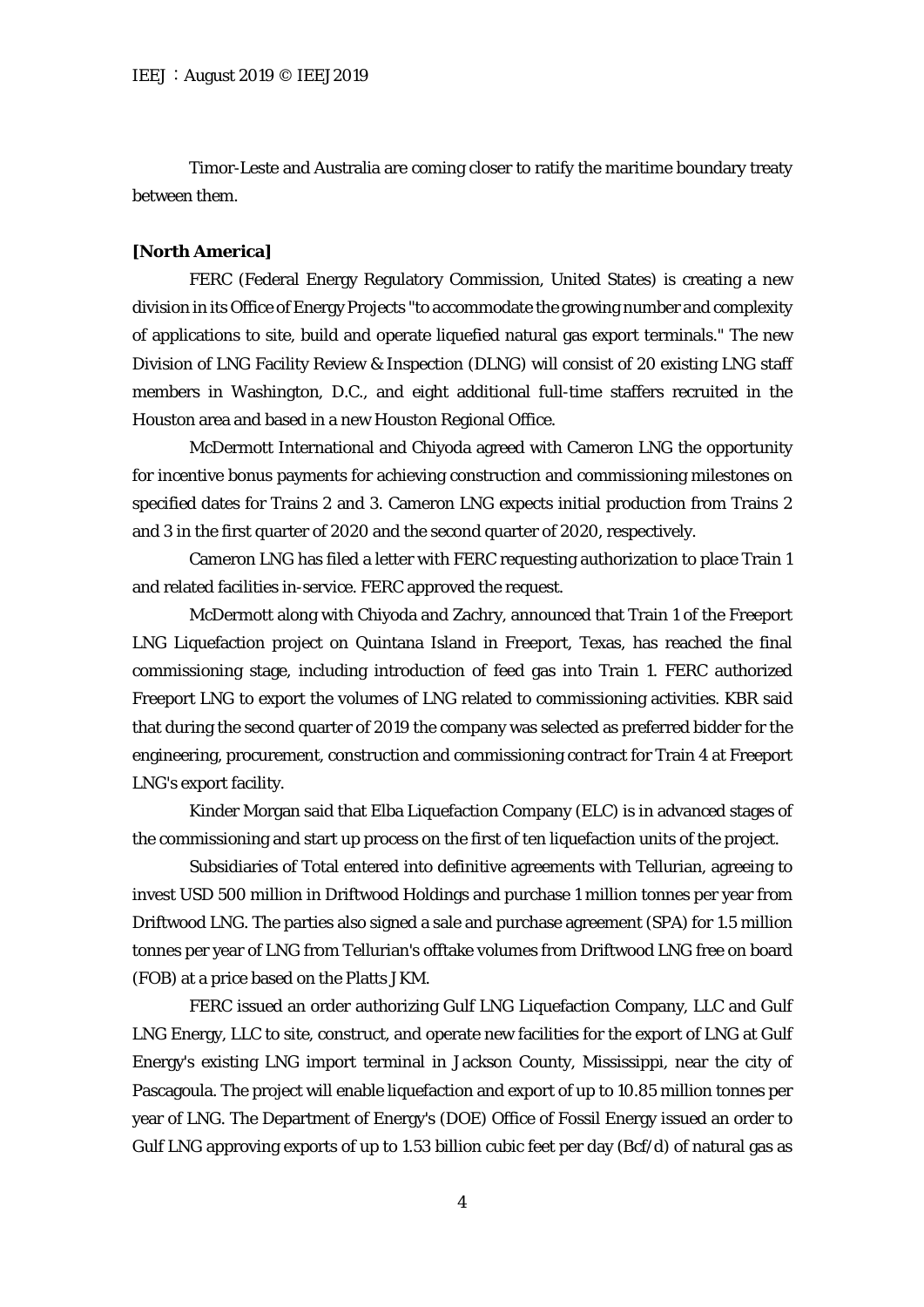Timor-Leste and Australia are coming closer to ratify the maritime boundary treaty between them.

#### **[North America]**

FERC (Federal Energy Regulatory Commission, United States) is creating a new division in its Office of Energy Projects "to accommodate the growing number and complexity of applications to site, build and operate liquefied natural gas export terminals." The new Division of LNG Facility Review & Inspection (DLNG) will consist of 20 existing LNG staff members in Washington, D.C., and eight additional full-time staffers recruited in the Houston area and based in a new Houston Regional Office.

McDermott International and Chiyoda agreed with Cameron LNG the opportunity for incentive bonus payments for achieving construction and commissioning milestones on specified dates for Trains 2 and 3. Cameron LNG expects initial production from Trains 2 and 3 in the first quarter of 2020 and the second quarter of 2020, respectively.

Cameron LNG has filed a letter with FERC requesting authorization to place Train 1 and related facilities in-service. FERC approved the request.

McDermott along with Chiyoda and Zachry, announced that Train 1 of the Freeport LNG Liquefaction project on Quintana Island in Freeport, Texas, has reached the final commissioning stage, including introduction of feed gas into Train 1. FERC authorized Freeport LNG to export the volumes of LNG related to commissioning activities. KBR said that during the second quarter of 2019 the company was selected as preferred bidder for the engineering, procurement, construction and commissioning contract for Train 4 at Freeport LNG's export facility.

Kinder Morgan said that Elba Liquefaction Company (ELC) is in advanced stages of the commissioning and start up process on the first of ten liquefaction units of the project.

Subsidiaries of Total entered into definitive agreements with Tellurian, agreeing to invest USD 500 million in Driftwood Holdings and purchase 1 million tonnes per year from Driftwood LNG. The parties also signed a sale and purchase agreement (SPA) for 1.5 million tonnes per year of LNG from Tellurian's offtake volumes from Driftwood LNG free on board (FOB) at a price based on the Platts JKM.

FERC issued an order authorizing Gulf LNG Liquefaction Company, LLC and Gulf LNG Energy, LLC to site, construct, and operate new facilities for the export of LNG at Gulf Energy's existing LNG import terminal in Jackson County, Mississippi, near the city of Pascagoula. The project will enable liquefaction and export of up to 10.85 million tonnes per year of LNG. The Department of Energy's (DOE) Office of Fossil Energy issued an order to Gulf LNG approving exports of up to 1.53 billion cubic feet per day (Bcf/d) of natural gas as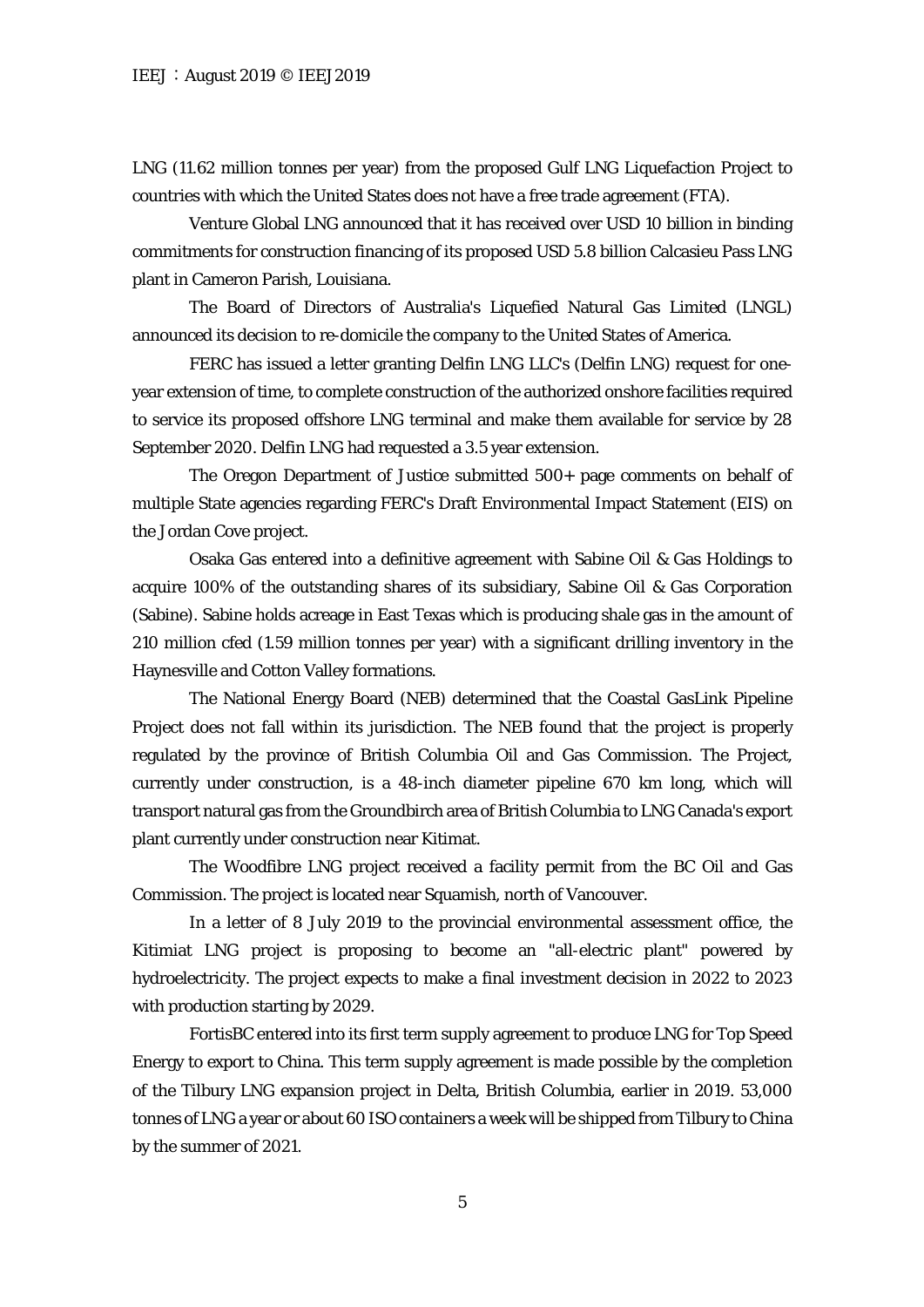LNG (11.62 million tonnes per year) from the proposed Gulf LNG Liquefaction Project to countries with which the United States does not have a free trade agreement (FTA).

Venture Global LNG announced that it has received over USD 10 billion in binding commitments for construction financing of its proposed USD 5.8 billion Calcasieu Pass LNG plant in Cameron Parish, Louisiana.

The Board of Directors of Australia's Liquefied Natural Gas Limited (LNGL) announced its decision to re-domicile the company to the United States of America.

FERC has issued a letter granting Delfin LNG LLC's (Delfin LNG) request for oneyear extension of time, to complete construction of the authorized onshore facilities required to service its proposed offshore LNG terminal and make them available for service by 28 September 2020. Delfin LNG had requested a 3.5 year extension.

The Oregon Department of Justice submitted 500+ page comments on behalf of multiple State agencies regarding FERC's Draft Environmental Impact Statement (EIS) on the Jordan Cove project.

Osaka Gas entered into a definitive agreement with Sabine Oil & Gas Holdings to acquire 100% of the outstanding shares of its subsidiary, Sabine Oil & Gas Corporation (Sabine). Sabine holds acreage in East Texas which is producing shale gas in the amount of 210 million cfed (1.59 million tonnes per year) with a significant drilling inventory in the Haynesville and Cotton Valley formations.

The National Energy Board (NEB) determined that the Coastal GasLink Pipeline Project does not fall within its jurisdiction. The NEB found that the project is properly regulated by the province of British Columbia Oil and Gas Commission. The Project, currently under construction, is a 48-inch diameter pipeline 670 km long, which will transport natural gas from the Groundbirch area of British Columbia to LNG Canada's export plant currently under construction near Kitimat.

The Woodfibre LNG project received a facility permit from the BC Oil and Gas Commission. The project is located near Squamish, north of Vancouver.

In a letter of 8 July 2019 to the provincial environmental assessment office, the Kitimiat LNG project is proposing to become an "all-electric plant" powered by hydroelectricity. The project expects to make a final investment decision in 2022 to 2023 with production starting by 2029.

FortisBC entered into its first term supply agreement to produce LNG for Top Speed Energy to export to China. This term supply agreement is made possible by the completion of the Tilbury LNG expansion project in Delta, British Columbia, earlier in 2019. 53,000 tonnes of LNG a year or about 60 ISO containers a week will be shipped from Tilbury to China by the summer of 2021.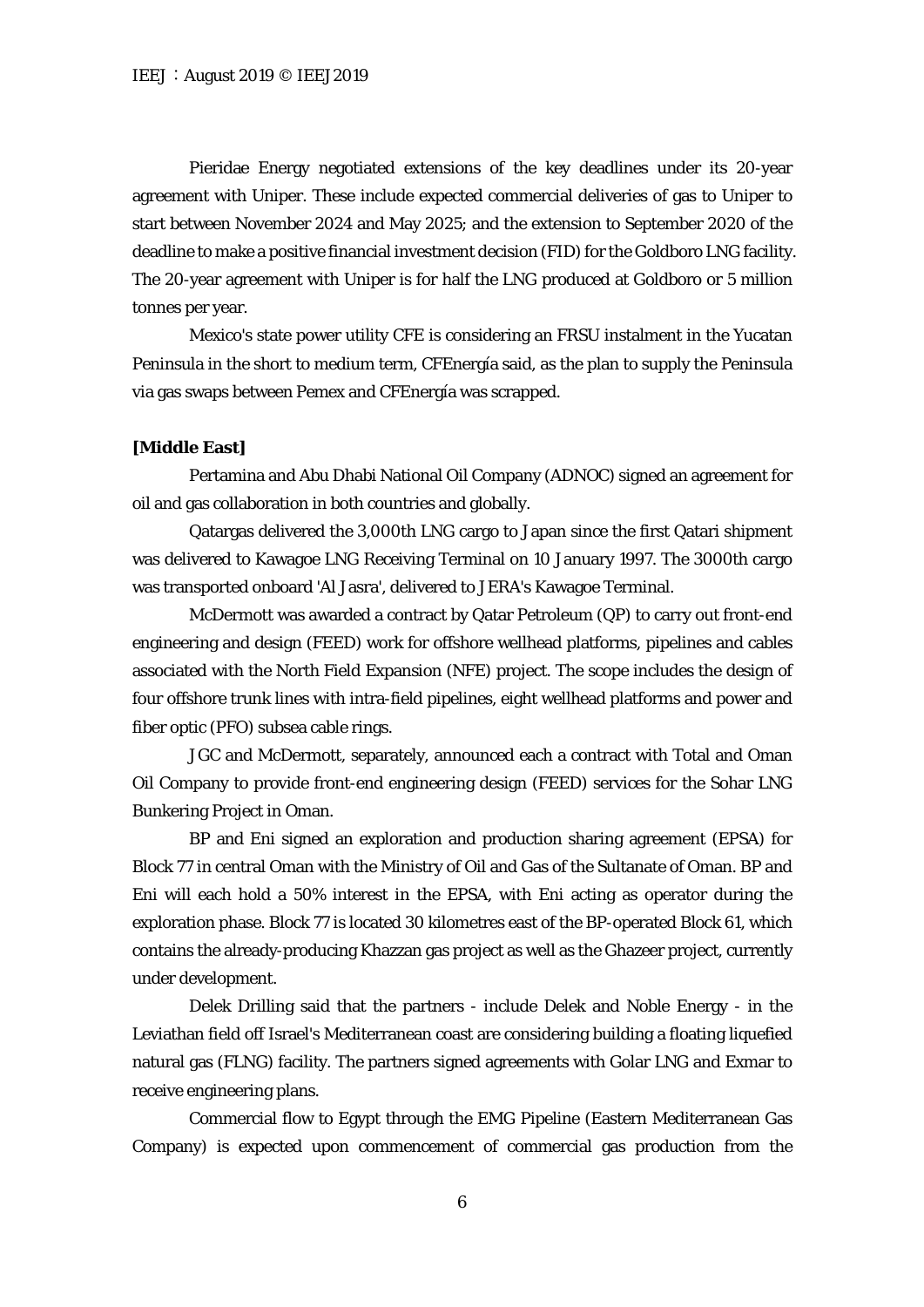Pieridae Energy negotiated extensions of the key deadlines under its 20-year agreement with Uniper. These include expected commercial deliveries of gas to Uniper to start between November 2024 and May 2025; and the extension to September 2020 of the deadline to make a positive financial investment decision (FID) for the Goldboro LNG facility. The 20-year agreement with Uniper is for half the LNG produced at Goldboro or 5 million tonnes per year.

Mexico's state power utility CFE is considering an FRSU instalment in the Yucatan Peninsula in the short to medium term, CFEnergía said, as the plan to supply the Peninsula via gas swaps between Pemex and CFEnergía was scrapped.

#### **[Middle East]**

Pertamina and Abu Dhabi National Oil Company (ADNOC) signed an agreement for oil and gas collaboration in both countries and globally.

Qatargas delivered the 3,000th LNG cargo to Japan since the first Qatari shipment was delivered to Kawagoe LNG Receiving Terminal on 10 January 1997. The 3000th cargo was transported onboard 'Al Jasra', delivered to JERA's Kawagoe Terminal.

McDermott was awarded a contract by Qatar Petroleum (QP) to carry out front-end engineering and design (FEED) work for offshore wellhead platforms, pipelines and cables associated with the North Field Expansion (NFE) project. The scope includes the design of four offshore trunk lines with intra-field pipelines, eight wellhead platforms and power and fiber optic (PFO) subsea cable rings.

JGC and McDermott, separately, announced each a contract with Total and Oman Oil Company to provide front-end engineering design (FEED) services for the Sohar LNG Bunkering Project in Oman.

BP and Eni signed an exploration and production sharing agreement (EPSA) for Block 77 in central Oman with the Ministry of Oil and Gas of the Sultanate of Oman. BP and Eni will each hold a 50% interest in the EPSA, with Eni acting as operator during the exploration phase. Block 77 is located 30 kilometres east of the BP-operated Block 61, which contains the already-producing Khazzan gas project as well as the Ghazeer project, currently under development.

Delek Drilling said that the partners - include Delek and Noble Energy - in the Leviathan field off Israel's Mediterranean coast are considering building a floating liquefied natural gas (FLNG) facility. The partners signed agreements with Golar LNG and Exmar to receive engineering plans.

Commercial flow to Egypt through the EMG Pipeline (Eastern Mediterranean Gas Company) is expected upon commencement of commercial gas production from the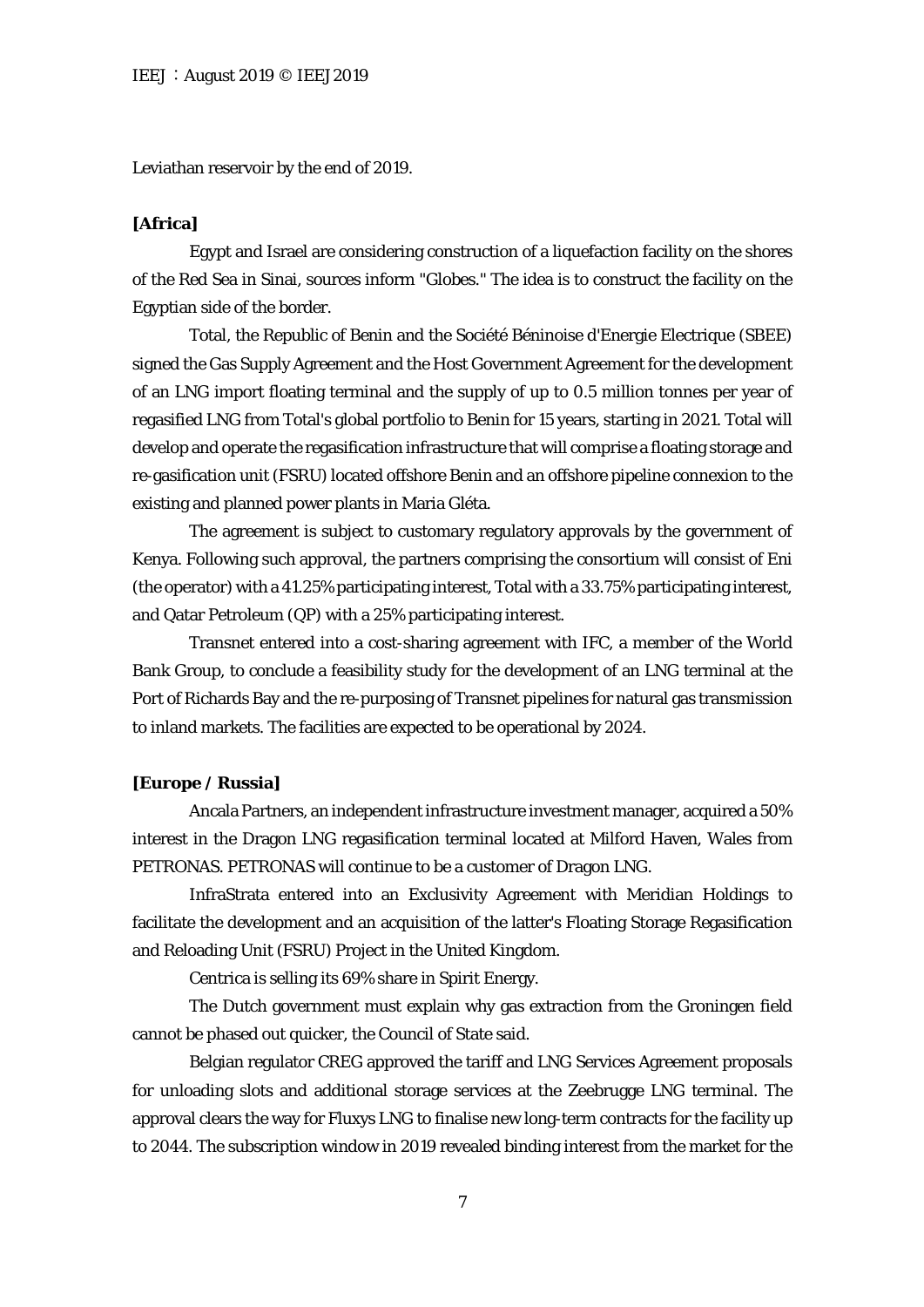Leviathan reservoir by the end of 2019.

#### **[Africa]**

Egypt and Israel are considering construction of a liquefaction facility on the shores of the Red Sea in Sinai, sources inform "Globes." The idea is to construct the facility on the Egyptian side of the border.

Total, the Republic of Benin and the Société Béninoise d'Energie Electrique (SBEE) signed the Gas Supply Agreement and the Host Government Agreement for the development of an LNG import floating terminal and the supply of up to 0.5 million tonnes per year of regasified LNG from Total's global portfolio to Benin for 15 years, starting in 2021. Total will develop and operate the regasification infrastructure that will comprise a floating storage and re-gasification unit (FSRU) located offshore Benin and an offshore pipeline connexion to the existing and planned power plants in Maria Gléta.

The agreement is subject to customary regulatory approvals by the government of Kenya. Following such approval, the partners comprising the consortium will consist of Eni (the operator) with a 41.25% participating interest, Total with a 33.75% participating interest, and Qatar Petroleum (QP) with a 25% participating interest.

Transnet entered into a cost-sharing agreement with IFC, a member of the World Bank Group, to conclude a feasibility study for the development of an LNG terminal at the Port of Richards Bay and the re-purposing of Transnet pipelines for natural gas transmission to inland markets. The facilities are expected to be operational by 2024.

#### **[Europe / Russia]**

Ancala Partners, an independent infrastructure investment manager, acquired a 50% interest in the Dragon LNG regasification terminal located at Milford Haven, Wales from PETRONAS. PETRONAS will continue to be a customer of Dragon LNG.

InfraStrata entered into an Exclusivity Agreement with Meridian Holdings to facilitate the development and an acquisition of the latter's Floating Storage Regasification and Reloading Unit (FSRU) Project in the United Kingdom.

Centrica is selling its 69% share in Spirit Energy.

The Dutch government must explain why gas extraction from the Groningen field cannot be phased out quicker, the Council of State said.

Belgian regulator CREG approved the tariff and LNG Services Agreement proposals for unloading slots and additional storage services at the Zeebrugge LNG terminal. The approval clears the way for Fluxys LNG to finalise new long-term contracts for the facility up to 2044. The subscription window in 2019 revealed binding interest from the market for the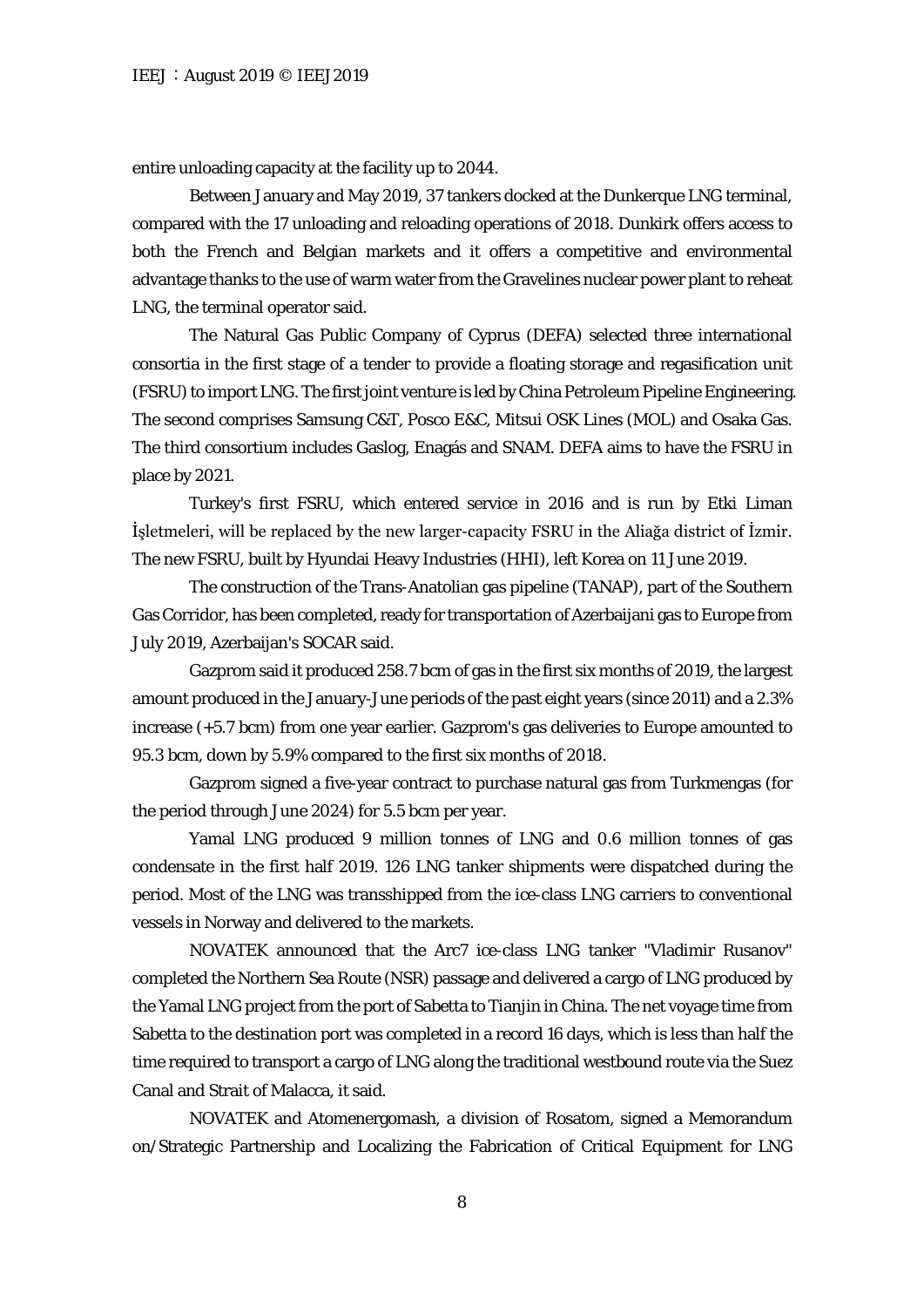entire unloading capacity at the facility up to 2044.

Between January and May 2019, 37 tankers docked at the Dunkerque LNG terminal, compared with the 17 unloading and reloading operations of 2018. Dunkirk offers access to both the French and Belgian markets and it offers a competitive and environmental advantage thanks to the use of warm water from the Gravelines nuclear power plant to reheat LNG, the terminal operator said.

The Natural Gas Public Company of Cyprus (DEFA) selected three international consortia in the first stage of a tender to provide a floating storage and regasification unit (FSRU) to import LNG. The first joint venture is led by China Petroleum Pipeline Engineering. The second comprises Samsung C&T, Posco E&C, Mitsui OSK Lines (MOL) and Osaka Gas. The third consortium includes Gaslog, Enagás and SNAM. DEFA aims to have the FSRU in place by 2021.

Turkey's first FSRU, which entered service in 2016 and is run by Etki Liman İşletmeleri, will be replaced by the new larger-capacity FSRU in the Aliağa district of İzmir. The new FSRU, built by Hyundai Heavy Industries (HHI), left Korea on 11 June 2019.

The construction of the Trans-Anatolian gas pipeline (TANAP), part of the Southern Gas Corridor, has been completed, ready for transportation of Azerbaijani gas to Europe from July 2019, Azerbaijan's SOCAR said.

Gazprom said it produced 258.7 bcm of gas in the first six months of 2019, the largest amount produced in the January-June periods of the past eight years (since 2011) and a 2.3% increase (+5.7 bcm) from one year earlier. Gazprom's gas deliveries to Europe amounted to 95.3 bcm, down by 5.9% compared to the first six months of 2018.

Gazprom signed a five-year contract to purchase natural gas from Turkmengas (for the period through June 2024) for 5.5 bcm per year.

Yamal LNG produced 9 million tonnes of LNG and 0.6 million tonnes of gas condensate in the first half 2019. 126 LNG tanker shipments were dispatched during the period. Most of the LNG was transshipped from the ice-class LNG carriers to conventional vessels in Norway and delivered to the markets.

NOVATEK announced that the Arc7 ice-class LNG tanker "Vladimir Rusanov" completed the Northern Sea Route (NSR) passage and delivered a cargo of LNG produced by the Yamal LNG project from the port of Sabetta to Tianjin in China. The net voyage time from Sabetta to the destination port was completed in a record 16 days, which is less than half the time required to transport a cargo of LNG along the traditional westbound route via the Suez Canal and Strait of Malacca, it said.

NOVATEK and Atomenergomash, a division of Rosatom, signed a Memorandum on/Strategic Partnership and Localizing the Fabrication of Critical Equipment for LNG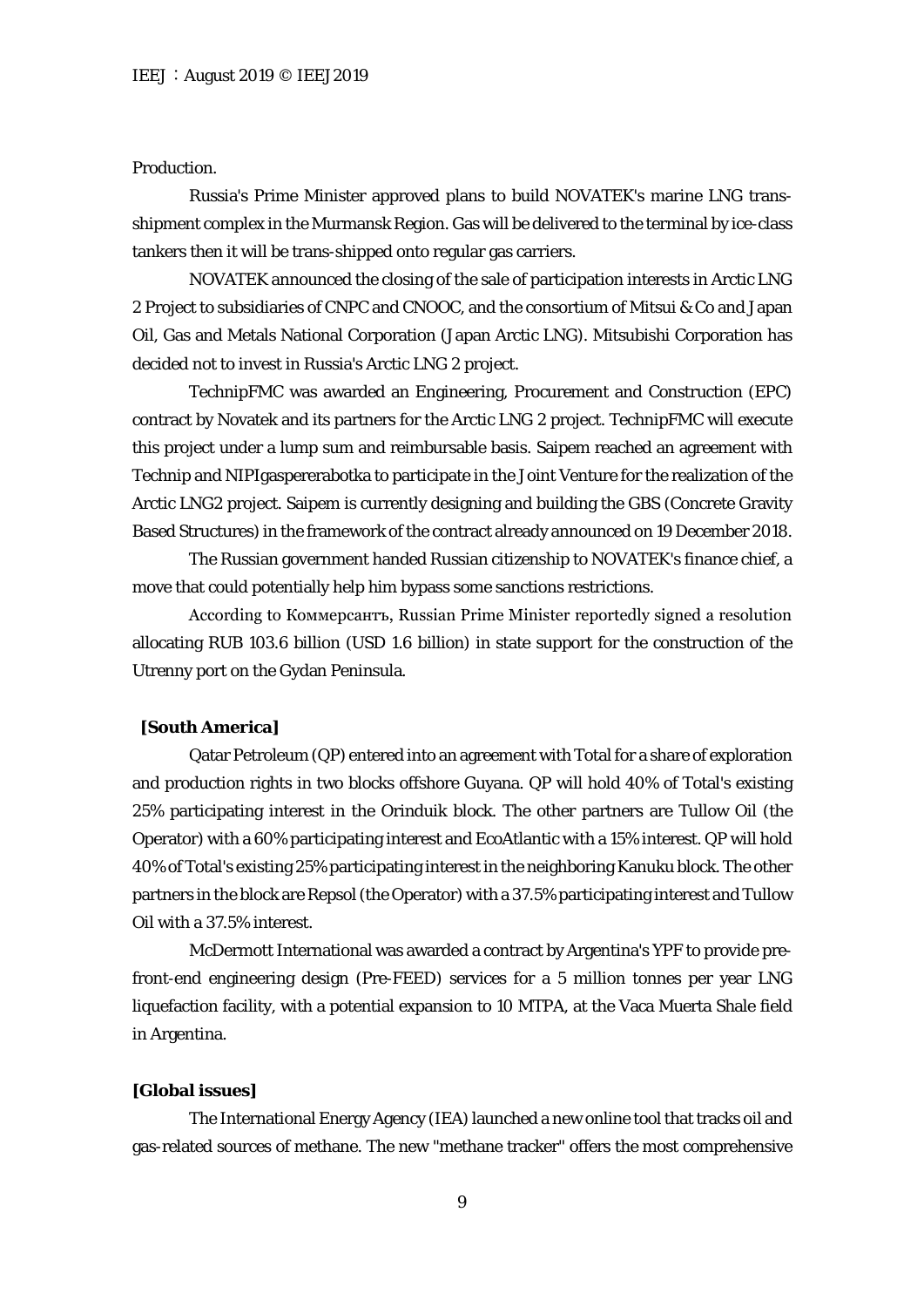# Production.

Russia's Prime Minister approved plans to build NOVATEK's marine LNG transshipment complex in the Murmansk Region. Gas will be delivered to the terminal by ice-class tankers then it will be trans-shipped onto regular gas carriers.

NOVATEK announced the closing of the sale of participation interests in Arctic LNG 2 Project to subsidiaries of CNPC and CNOOC, and the consortium of Mitsui & Co and Japan Oil, Gas and Metals National Corporation (Japan Arctic LNG). Mitsubishi Corporation has decided not to invest in Russia's Arctic LNG 2 project.

TechnipFMC was awarded an Engineering, Procurement and Construction (EPC) contract by Novatek and its partners for the Arctic LNG 2 project. TechnipFMC will execute this project under a lump sum and reimbursable basis. Saipem reached an agreement with Technip and NIPIgaspererabotka to participate in the Joint Venture for the realization of the Arctic LNG2 project. Saipem is currently designing and building the GBS (Concrete Gravity Based Structures) in the framework of the contract already announced on 19 December 2018.

The Russian government handed Russian citizenship to NOVATEK's finance chief, a move that could potentially help him bypass some sanctions restrictions.

According to Коммерсантъ, Russian Prime Minister reportedly signed a resolution allocating RUB 103.6 billion (USD 1.6 billion) in state support for the construction of the Utrenny port on the Gydan Peninsula.

#### **[South America]**

Qatar Petroleum (QP) entered into an agreement with Total for a share of exploration and production rights in two blocks offshore Guyana. QP will hold 40% of Total's existing 25% participating interest in the Orinduik block. The other partners are Tullow Oil (the Operator) with a 60% participating interest and EcoAtlantic with a 15% interest. QP will hold 40% of Total's existing 25% participating interest in the neighboring Kanuku block. The other partners in the block are Repsol (the Operator) with a 37.5% participating interest and Tullow Oil with a 37.5% interest.

McDermott International was awarded a contract by Argentina's YPF to provide prefront-end engineering design (Pre-FEED) services for a 5 million tonnes per year LNG liquefaction facility, with a potential expansion to 10 MTPA, at the Vaca Muerta Shale field in Argentina.

#### **[Global issues]**

The International Energy Agency (IEA) launched a new online tool that tracks oil and gas-related sources of methane. The new "methane tracker" offers the most comprehensive